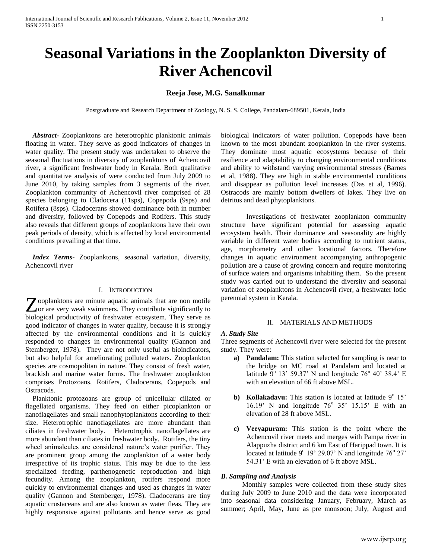# **Seasonal Variations in the Zooplankton Diversity of River Achencovil**

## **Reeja Jose, M.G. Sanalkumar**

Postgraduate and Research Department of Zoology, N. S. S. College, Pandalam-689501, Kerala, India

 *Abstract***-** Zooplanktons are heterotrophic planktonic animals floating in water. They serve as good indicators of changes in water quality. The present study was undertaken to observe the seasonal fluctuations in diversity of zooplanktons of Achencovil river, a significant freshwater body in Kerala. Both qualitative and quantitative analysis of were conducted from July 2009 to June 2010, by taking samples from 3 segments of the river. Zooplankton community of Achencovil river comprised of 28 species belonging to Cladocera (11sps), Copepoda (9sps) and Rotifera (8sps). Cladocerans showed dominance both in number and diversity, followed by Copepods and Rotifers. This study also reveals that different groups of zooplanktons have their own peak periods of density, which is affected by local environmental conditions prevailing at that time.

 *Index Terms*- Zooplanktons, seasonal variation, diversity, Achencovil river

#### I. INTRODUCTION

ooplanktons are minute aquatic animals that are non motile **Z** ooplanktons are minute aquatic animals that are non motile or are very weak swimmers. They contribute significantly to biological productivity of freshwater ecosystem. They serve as good indicator of changes in water quality, because it is strongly affected by the environmental conditions and it is quickly responded to changes in environmental quality (Gannon and Stemberger, 1978). They are not only useful as bioindicators, but also helpful for ameliorating polluted waters. Zooplankton species are cosmopolitan in nature. They consist of fresh water, brackish and marine water forms. The freshwater zooplankton comprises Protozoans, Rotifers, Cladocerans, Copepods and Ostracods.

 Planktonic protozoans are group of unicellular ciliated or flagellated organisms. They feed on either picoplankton or nanoflagellates and small nanophytoplanktons according to their size. Heterotrophic nanoflagellates are more abundant than ciliates in freshwater body. Heterotrophic nanoflagellates are more abundant than ciliates in freshwater body. Rotifers, the tiny wheel animalcules are considered nature's water purifier. They are prominent group among the zooplankton of a water body irrespective of its trophic status. This may be due to the less specialized feeding, parthenogenetic reproduction and high fecundity. Among the zooplankton, rotifers respond more quickly to environmental changes and used as changes in water quality (Gannon and Stemberger, 1978). Cladocerans are tiny aquatic crustaceans and are also known as water fleas. They are highly responsive against pollutants and hence serve as good

biological indicators of water pollution. Copepods have been known to the most abundant zooplankton in the river systems. They dominate most aquatic ecosystems because of their resilience and adaptability to changing environmental conditions and ability to withstand varying environmental stresses (Barnes et al, 1988). They are high in stable environmental conditions and disappear as pollution level increases (Das et al, 1996). Ostracods are mainly bottom dwellers of lakes. They live on detritus and dead phytoplanktons.

Investigations of freshwater zooplankton community structure have significant potential for assessing aquatic ecosystem health. Their dominance and seasonality are highly variable in different water bodies according to nutrient status, age, morphometry and other locational factors. Therefore changes in aquatic environment accompanying anthropogenic pollution are a cause of growing concern and require monitoring of surface waters and organisms inhabiting them. So the present study was carried out to understand the diversity and seasonal variation of zooplanktons in Achencovil river, a freshwater lotic perennial system in Kerala.

### II. MATERIALS AND METHODS

#### *A. Study Site*

Three segments of Achencovil river were selected for the present study. They were:

- **a) Pandalam:** This station selected for sampling is near to the bridge on MC road at Pandalam and located at latitude  $9^{\circ}$  13' 59.37' N and longitude 76° 40' 38.4' E with an elevation of 66 ft above MSL.
- **b) Kollakadavu:** This station is located at latitude 9<sup>°</sup> 15' 16.19' N and longitude  $76^{\circ}$  35' 15.15' E with an elevation of 28 ft above MSL.
- **c) Veeyapuram:** This station is the point where the Achencovil river meets and merges with Pampa river in Alappuzha district and 6 km East of Harippad town. It is located at latitude  $9^{\circ}$  19' 29.07' N and longitude 76 $^{\circ}$  27' 54.31' E with an elevation of 6 ft above MSL.

#### *B. Sampling and Analysis*

 Monthly samples were collected from these study sites during July 2009 to June 2010 and the data were incorporated into seasonal data considering January, February, March as summer; April, May, June as pre monsoon; July, August and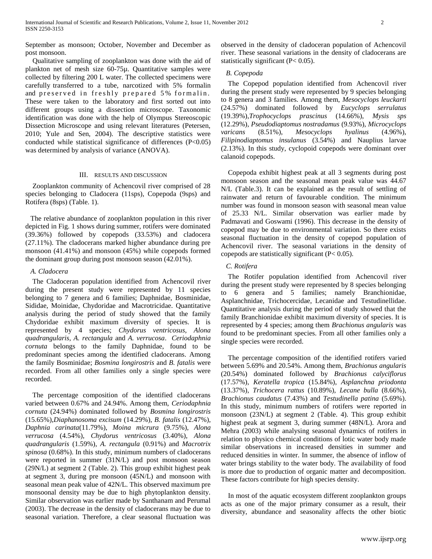September as monsoon; October, November and December as post monsoon.

 Qualitative sampling of zooplankton was done with the aid of plankton net of mesh size 60-75µ. Quantitative samples were collected by filtering 200 L water. The collected specimens were carefully transferred to a tube, narcotized with 5% formalin and preserved in freshly prepared 5% formalin. These were taken to the laboratory and first sorted out into different groups using a dissection microscope. Taxonomic identification was done with the help of Olympus Stereoscopic Dissection Microscope and using relevant literatures (Petersen, 2010; Yule and Sen, 2004). The descriptive statistics were conducted while statistical significance of differences (P<0.05) was determined by analysis of variance (ANOVA).

#### III. RESULTS AND DISCUSSION

 Zooplankton community of Achencovil river comprised of 28 species belonging to Cladocera (11sps), Copepoda (9sps) and Rotifera (8sps) (Table. 1).

The relative abundance of zooplankton population in this river depicted in Fig. 1 shows during summer, rotifers were dominated (39.36%) followed by copepods (33.53%) and cladocera (27.11%). The cladocerans marked higher abundance during pre monsoon (41.41%) and monsoon (45%) while copepods formed the dominant group during post monsoon season (42.01%).

#### *A. Cladocera*

 The Cladoceran population identified from Achencovil river during the present study were represented by 11 species belonging to 7 genera and 6 families; Daphnidae, Bosminidae, Sididae, Moinidae, Chydoridae and Macrotricidae. Quantitative analysis during the period of study showed that the family Chydoridae exhibit maximum diversity of species. It is represented by 4 species; *Chydorus ventricosus, Alona quadrangularis, A. rectangula* and *A. verrucosa*. *Ceriodaphnia cornuta* belongs to the family Daphnidae, found to be predominant species among the identified cladocerans. Among the family Bosminidae; *Bosmina longirostris* and *B. fatalis* were recorded. From all other families only a single species were recorded.

 The percentage composition of the identified cladocerans varied between 0.67% and 24.94%. Among them, *Ceriodaphnia cornuta* (24.94%) dominated followed by *Bosmina longirostris* (15.65%),*Diaphanosoma excisum* (14.29%), *B. fatalis* (12.47%), *Daphnia carinata*(11.79%), *Moina micrura* (9.75%), *Alona verrucosa* (4.54%), *Chydorus ventricosus* (3.40%), *Alona quadrangularis* (1.59%), *A. rectangula* (0.91%) and *Macrotrix spinosa* (0.68%). In this study, minimum numbers of cladocerans were reported in summer (31N/L) and post monsoon season (29N/L) at segment 2 (Table. 2). This group exhibit highest peak at segment 3, during pre monsoon (45N/L) and monsoon with seasonal mean peak value of 42N/L. This observed maximum pre monsoonal density may be due to high phytoplankton density. Similar observation was earlier made by Santhanam and Perumal (2003). The decrease in the density of cladocerans may be due to seasonal variation. Therefore, a clear seasonal fluctuation was

observed in the density of cladoceran population of Achencovil river. These seasonal variations in the density of cladocerans are statistically significant  $(P< 0.05)$ .

#### *B. Copepoda*

 The Copepod population identified from Achencovil river during the present study were represented by 9 species belonging to 8 genera and 3 families. Among them, *Mesocyclops leuckarti* (24.57%) dominated followed by *Eucyclops serrulatus* (19.39%),*Trophocyclops prascinus* (14.66%), *Mysis sps* (12.29%), *Pseudodiaptomus nostradamus* (9.93%), *Microcyclops varicans* (8.51%), *Mesocyclops hyalinus* (4.96%), *Filipinodiaptomus insulanus* (3.54%) and Nauplius larvae (2.13%). In this study, cyclopoid copepods were dominant over calanoid copepods.

 Copepoda exhibit highest peak at all 3 segments during post monsoon season and the seasonal mean peak value was 44.67 N/L (Table.3). It can be explained as the result of settling of rainwater and return of favourable condition. The minimum number was found in monsoon season with seasonal mean value of 25.33 N/L. Similar observation was earlier made by Padmavati and Goswami (1996). This decrease in the density of copepod may be due to environmental variation. So there exists seasonal fluctuation in the density of copepod population of Achencovil river. The seasonal variations in the density of copepods are statistically significant (P< 0.05).

#### *C. Rotifera*

 The Rotifer population identified from Achencovil river during the present study were represented by 8 species belonging to 6 genera and 5 families; namely Branchionidae, Asplanchnidae, Trichocercidae, Lecanidae and Testudinellidae. Quantitative analysis during the period of study showed that the family Branchionidae exhibit maximum diversity of species. It is represented by 4 species; among them *Brachionus angularis* was found to be predominant species. From all other families only a single species were recorded.

 The percentage composition of the identified rotifers varied between 5.69% and 20.54%. Among them, *Brachionus angularis* (20.54%) dominated followed by *Brachionus calyciflorus* (17.57%), *Keratella tropica* (15.84%), *Asplanchna priodonta*  (13.37%), *Trichocera rattus* (10.89%), *Lecane bulla* (8.66%), *Brachionus caudatus* (7.43%) and *Testudinella patina* (5.69%). In this study, minimum numbers of rotifers were reported in monsoon (23N/L) at segment 2 (Table. 4). This group exhibit highest peak at segment 3, during summer (48N/L). Arora and Mehra (2003) while analysing seasonal dynamics of rotifers in relation to physico chemical conditions of lotic water body made similar observations in increased densities in summer and reduced densities in winter. In summer, the absence of inflow of water brings stability to the water body. The availability of food is more due to production of organic matter and decomposition. These factors contribute for high species density.

 In most of the aquatic ecosystem different zooplankton groups acts as one of the major primary consumer as a result, their diversity, abundance and seasonality affects the other biotic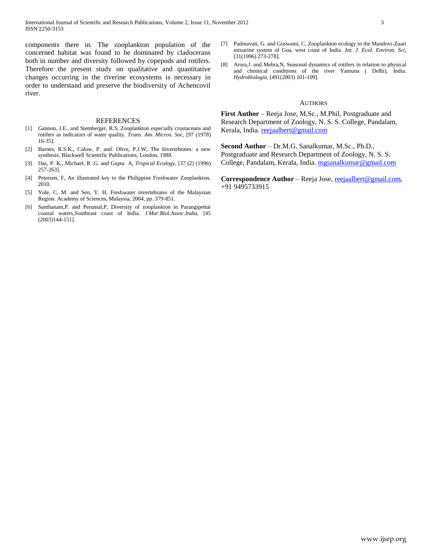components there in. The zooplankton population of the concerned habitat was found to be dominated by cladocerans both in number and diversity followed by copepods and rotifers. Therefore the present study on qualitative and quantitative changes occurring in the riverine ecosystems is necessary in order to understand and preserve the biodiversity of Achencovil river.

#### REFERENCES

- [1] Gannon, J.E., and Stemberger, R.S, Zooplankton especially crustaceans and rotifers as indicators of water quality. *Trans. Am. Micros. Soc,* [97 (1978) 16-35].
- [2] Barnes, R.S.K., Calow, P. and. Olive, P.J.W, The Invertebrates: a new synthesis. Blackwell Scientific Publications, London, 1988.
- [3] Das, P. K., Michael, R .G. and Gupta A, *Tropical Ecology*, [37 (2) (1996) 257-263].
- [4] Petersen, F, An illustrated key to the Philippine Freshwater Zooplankton. 2010.
- [5] Yule, C. M. and Sen, Y. H, Freshwater invertebrates of the Malaysian Region. Academy of Sciences, Malaysia, 2004, pp. 379-851.
- [6] Santhanam,P. and Perumal,P, Diversity of zooplankton in Parangipettai coastal waters,Southeast coast of India. *J.Mar.Biol.Assoc.India*, [45 (2003)144-151].
- [7] Padmavati, G. and Goswami, C, Zooplankton ecology in the Mandovi-Zuari estuarine system of Goa, west coast of India. *Int. J. Ecol. Environ. Sci*, [31(1996) 273-278].
- [8] Arora,J. and Mehra,N, Seasonal dynamics of rotifers in relation to physical and chemical conditions of the river Yamuna ( Delhi), India. *Hydrobiologia*, [491(2003) 101-109].

#### AUTHORS

**First Author** – Reeja Jose, M.Sc., M.Phil, Postgraduate and Research Department of Zoology, N. S. S. College, Pandalam, Kerala, India. [reejaalbert@gmail.com](mailto:reejaalbert@gmail.com)

**Second Author** – Dr.M.G. Sanalkumar, M.Sc., Ph.D., Postgraduate and Research Department of Zoology, N. S. S. College, Pandalam, Kerala, India. [mgsanalkumar@gmail.com](mailto:mgsanalkumar@gmail.com)

**Correspondence Author** – Reeja Jose, [reejaalbert@gmail.com,](mailto:reejaalbert@gmail.com) +91 9495733915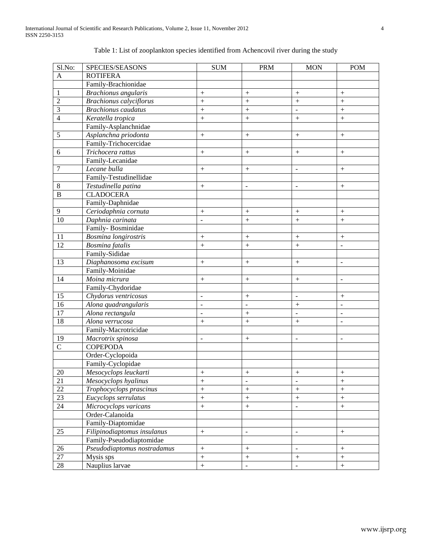| Sl.No:         | SPECIES/SEASONS                | <b>SUM</b>                   | <b>PRM</b>        | <b>MON</b>                   | <b>POM</b>                   |
|----------------|--------------------------------|------------------------------|-------------------|------------------------------|------------------------------|
| $\mathbf{A}$   | <b>ROTIFERA</b>                |                              |                   |                              |                              |
|                | Family-Brachionidae            |                              |                   |                              |                              |
| $\,1\,$        | <b>Brachionus</b> angularis    | $^{+}$                       | $^{+}$            | $^{+}$                       | $^{+}$                       |
| $\overline{2}$ | <b>Brachionus calyciflorus</b> | $^{+}$                       |                   | $^{+}$                       | $^{+}$                       |
| $\overline{3}$ | <b>Brachionus</b> caudatus     | $^{+}$                       | $^{+}$            |                              | $^{+}$                       |
| $\overline{4}$ | Keratella tropica              | $\ddot{}$                    | $\! + \!$         |                              | $\boldsymbol{+}$             |
|                | Family-Asplanchnidae           |                              |                   |                              |                              |
| $\overline{5}$ | Asplanchna priodonta           | $\! + \!$                    | $\boldsymbol{+}$  | $\boldsymbol{+}$             | $\boldsymbol{+}$             |
|                | Family-Trichocercidae          |                              |                   |                              |                              |
| $\sqrt{6}$     | Trichocera rattus              | $\! + \!$                    | $\boldsymbol{+}$  | $\boldsymbol{+}$             | $\boldsymbol{+}$             |
|                | Family-Lecanidae               |                              |                   |                              |                              |
| $\overline{7}$ | Lecane bulla                   | $\! + \!$                    | $\boldsymbol{+}$  | $\overline{\phantom{a}}$     | $\boldsymbol{+}$             |
|                | Family-Testudinellidae         |                              |                   |                              |                              |
| $\,8\,$        | Testudinella patina            | $\! + \!$                    | $\overline{a}$    | $\overline{\phantom{a}}$     | $\boldsymbol{+}$             |
| $\overline{B}$ | <b>CLADOCERA</b>               |                              |                   |                              |                              |
|                | Family-Daphnidae               |                              |                   |                              |                              |
| $\overline{9}$ | Ceriodaphnia cornuta           | $^{+}$                       | $\boldsymbol{+}$  | $\boldsymbol{+}$             | $\boldsymbol{+}$             |
| 10             | Daphnia carinata               | $\frac{1}{2}$                | $\boldsymbol{+}$  | $\boldsymbol{+}$             | $\boldsymbol{+}$             |
|                | Family-Bosminidae              |                              |                   |                              |                              |
| 11             | Bosmina longirostris           | $^{+}$                       | $\boldsymbol{+}$  | $\boldsymbol{+}$             | $\boldsymbol{+}$             |
| 12             | Bosmina fatalis                | $\ddot{}$                    | $\boldsymbol{+}$  | $\! + \!$                    | $\overline{a}$               |
|                | Family-Sididae                 |                              |                   |                              |                              |
| 13             | Diaphanosoma excisum           | $\! + \!$                    | $\boldsymbol{+}$  | $\boldsymbol{+}$             | $\overline{\phantom{a}}$     |
|                | Family-Moinidae                |                              |                   |                              |                              |
| 14             | Moina micrura                  | $\! + \!$                    | $\boldsymbol{+}$  | $\boldsymbol{+}$             | $\overline{a}$               |
|                | Family-Chydoridae              |                              |                   |                              |                              |
| 15             | Chydorus ventricosus           | $\qquad \qquad \blacksquare$ | $\boldsymbol{+}$  | $\qquad \qquad \blacksquare$ | $\boldsymbol{+}$             |
| 16             | Alona quadrangularis           | $\blacksquare$               | $\overline{a}$    | $^{+}$                       |                              |
| 17             | Alona rectangula               | $\blacksquare$               | $\! + \!$         |                              | $\qquad \qquad \blacksquare$ |
| 18             | Alona verrucosa                | $^{+}$                       | $\! + \!$         |                              | $\qquad \qquad \blacksquare$ |
|                | Family-Macrotricidae           |                              |                   |                              |                              |
| 19             | Macrotrix spinosa              | $\overline{\phantom{a}}$     | $\boldsymbol{+}$  | $\blacksquare$               | $\overline{\phantom{0}}$     |
| $\overline{C}$ | <b>COPEPODA</b>                |                              |                   |                              |                              |
|                | Order-Cyclopoida               |                              |                   |                              |                              |
|                | Family-Cyclopidae              |                              |                   |                              |                              |
| 20             | Mesocyclops leuckarti          | $\boldsymbol{+}$             | $\boldsymbol{+}$  | $\boldsymbol{+}$             | $\boldsymbol{+}$             |
| 21             | Mesocyclops hyalinus           | $^{+}$                       | ÷                 | $\qquad \qquad \blacksquare$ | $\! + \!$                    |
| 22             | Trophocyclops prascinus        | $\ddot{}$                    | $\! + \!$         |                              | $\! + \!$                    |
| 23             | Eucyclops serrulatus           | $\ddot{}$                    | $\ddot{}$         | $\! + \!$                    | $\boldsymbol{+}$             |
| 24             | Microcyclops varicans          | $\! + \!$                    | $\qquad \qquad +$ | $\blacksquare$               | $\boldsymbol{+}$             |
|                | Order-Calanoida                |                              |                   |                              |                              |
|                | Family-Diaptomidae             |                              |                   |                              |                              |
| 25             | Filipinodiaptomus insulanus    | $\! + \!$                    | $\overline{a}$    | $\qquad \qquad \blacksquare$ | $\boldsymbol{+}$             |
|                | Family-Pseudodiaptomidae       |                              |                   |                              |                              |
| 26             | Pseudodiaptomus nostradamus    | $\qquad \qquad +$            | $\boldsymbol{+}$  | $\Box$                       | $\overline{+}$               |

27 Mysis sps  $+$   $+$   $+$   $+$  $28$  Nauplius larvae  $+$   $+$ 

# Table 1: List of zooplankton species identified from Achencovil river during the study